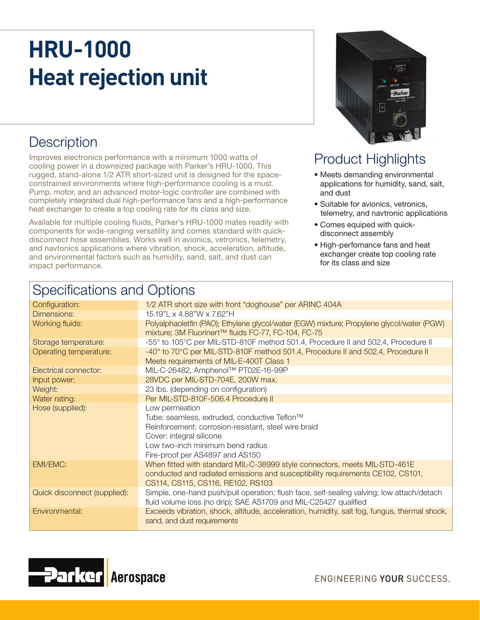# **HRU-1000 Heat rejection unit**

## **Description**

Improves electronics performance with a minimum 1000 watts of cooling power in a downsized package with Parker's HRU-1000. This rugged, stand-alone 1/2 ATR short-sized unit is designed for the spaceconstrained environments where high-performance cooling is a must. Pump, motor, and an advanced motor-logic controller are combined with completely integrated dual high-performance fans and a high-performance heat exchanger to create a top cooling rate for its class and size.

Available for multiple cooling fluids, Parker's HRU-1000 mates readily with components for wide-ranging versatility and comes standard with quickdisconnect hose assemblies. Works well in avionics, vetronics, telemetry, and navtonics applications where vibration, shock, acceleration, altitude, and environmental factors such as humidity, sand, salt, and dust can impact performance.



### Product Highlights

- Meets demanding environmental applications for humidity, sand, salt, and dust
- Suitable for avionics, vetronics, telemetry, and navtronic applications
- Comes equiped with quickdisconnect assembly
- High-perfomance fans and heat exchanger create top cooling rate for its class and size

| <b>Specifications and Options</b> |                                                                                                                                                                                                                           |
|-----------------------------------|---------------------------------------------------------------------------------------------------------------------------------------------------------------------------------------------------------------------------|
| Configuration:                    | 1/2 ATR short size with front "doghouse" per ARINC 404A                                                                                                                                                                   |
| Dimensions:                       | 15.19"L x 4.88"W x 7.62"H                                                                                                                                                                                                 |
| Working fluids:                   | Polyalphaoletfin (PAO); Ethylene glycol/water (EGW) mixture; Propylene glycol/water (PGW)<br>mixture; 3M Fluorinert™ fluids FC-77, FC-104, FC-75                                                                          |
| Storage temperature:              | -55° to 105°C per MIL-STD-810F method 501.4, Procedure II and 502.4, Procedure II                                                                                                                                         |
| Operating temperature:            | -40° to 70°C per MIL-STD-810F method 501.4, Procedure II and 502.4, Procedure II<br>Meets requirements of MIL-E-400T Class 1                                                                                              |
| Electrical connector:             | MIL-C-26482, Amphenol™ PT02E-16-99P                                                                                                                                                                                       |
| Input power:                      | 28VDC per MIL-STD-704E, 200W max.                                                                                                                                                                                         |
| Weight:                           | 23 lbs. (depending on configuration)                                                                                                                                                                                      |
| Water rating:                     | Per MIL-STD-810F-506.4 Procedure II                                                                                                                                                                                       |
| Hose (supplied):                  | Low permeation<br>Tube: seamless, extruded, conductive Teflon™<br>Reinforcement: corrosion-resistant, steel wire braid<br>Cover: integral silicone<br>Low two-inch minimum bend radius<br>Fire-proof per AS4897 and AS150 |
| <b>EMI/EMC:</b>                   | When fitted with standard MIL-C-38999 style connectors, meets MIL-STD-461E<br>conducted and radiated emissions and susceptibility requirements CE102, CS101,<br>CS114, CS115, CS116, RE102, RS103                         |
| Quick disconnect (supplied):      | Simple, one-hand push/pull operation; flush face, self-sealing valving; low attach/detach<br>fluid volume loss (no drip); SAE AS1709 and MIL-C25427 qualified                                                             |
| Environmental:                    | Exceeds vibration, shock, altitude, acceleration, humidity, salt fog, fungus, thermal shock,<br>sand, and dust requirements                                                                                               |



ENGINEERING YOUR SUCCESS.